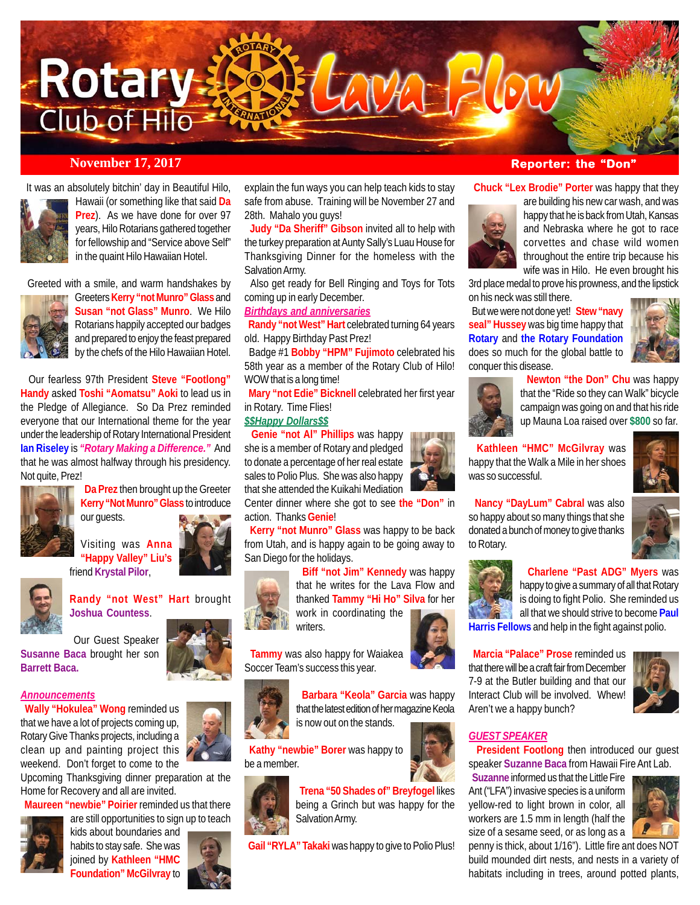

#### *November 17, 2017* **<b>Reporter: the "Don**"

It was an absolutely bitchin' day in Beautiful Hilo,



Hawaii (or something like that said **Da Prez**). As we have done for over 97 years, Hilo Rotarians gathered together for fellowship and "Service above Self" in the quaint Hilo Hawaiian Hotel.

Greeted with a smile, and warm handshakes by



Greeters **Kerry "not Munro" Glass** and **Susan "not Glass" Munro**. We Hilo Rotarians happily accepted our badges and prepared to enjoy the feast prepared by the chefs of the Hilo Hawaiian Hotel.

 Our fearless 97th President **Steve "Footlong" Handy** asked **Toshi "Aomatsu" Aoki** to lead us in the Pledge of Allegiance. So Da Prez reminded everyone that our International theme for the year under the leadership of Rotary International President **Ian Riseley** is *"Rotary Making a Difference."* And that he was almost halfway through his presidency. Not quite, Prez!



 **Da Prez** then brought up the Greeter **Kerry "Not Munro" Glass** to introduce our guests.

Visiting was **Anna "Happy Valley" Liu's** friend **Krystal Pilor**,



## **Randy "not West" Hart** brought **Joshua Countess**.

 Our Guest Speaker **Susanne Baca** brought her son **Barrett Baca.**

#### *Announcements*

 **Wally "Hokulea" Wong** reminded us that we have a lot of projects coming up, Rotary Give Thanks projects, including a clean up and painting project this weekend. Don't forget to come to the

Upcoming Thanksgiving dinner preparation at the Home for Recovery and all are invited.

 **Maureen "newbie" Poirier** reminded us that there are still opportunities to sign up to teach



kids about boundaries and habits to stay safe. She was joined by **Kathleen "HMC Foundation" McGilvray** to



explain the fun ways you can help teach kids to stay safe from abuse. Training will be November 27 and 28th. Mahalo you guys!

 **Judy "Da Sheriff" Gibson** invited all to help with the turkey preparation at Aunty Sally's Luau House for Thanksgiving Dinner for the homeless with the Salvation Army.

 Also get ready for Bell Ringing and Toys for Tots coming up in early December.

#### *Birthdays and anniversaries*

 **Randy "not West" Hart** celebrated turning 64 years old. Happy Birthday Past Prez!

 Badge #1 **Bobby "HPM" Fujimoto** celebrated his 58th year as a member of the Rotary Club of Hilo! WOW that is a long time!

 **Mary "not Edie" Bicknell** celebrated her first year in Rotary. Time Flies!

#### *\$\$Happy Dollars\$\$*

 **Genie "not Al" Phillips** was happy she is a member of Rotary and pledged to donate a percentage of her real estate sales to Polio Plus. She was also happy that she attended the Kuikahi Mediation

Center dinner where she got to see **the "Don"** in action. Thanks **Genie**!

 **Kerry "not Munro" Glass** was happy to be back from Utah, and is happy again to be going away to San Diego for the holidays.



 **Biff "not Jim" Kennedy** was happy that he writes for the Lava Flow and thanked **Tammy "Hi Ho" Silva** for her work in coordinating the writers.

 **Tammy** was also happy for Waiakea Soccer Team's success this year.



 **Barbara "Keola" Garcia** was happy that the latest edition of her magazine Keola is now out on the stands.

 **Kathy "newbie" Borer** was happy to be a member.



 **Trena "50 Shades of" Breyfogel** likes being a Grinch but was happy for the Salvation Army.

**Gail "RYLA" Takaki** was happy to give to Polio Plus!

**Chuck "Lex Brodie" Porter** was happy that they



are building his new car wash, and was happy that he is back from Utah, Kansas and Nebraska where he got to race corvettes and chase wild women throughout the entire trip because his wife was in Hilo. He even brought his

3rd place medal to prove his prowness, and the lipstick on his neck was still there.

 But we were not done yet! **Stew "navy seal" Hussey** was big time happy that **Rotary** and **the Rotary Foundation** does so much for the global battle to conquer this disease.





 **Newton "the Don" Chu** was happy that the "Ride so they can Walk" bicycle campaign was going on and that his ride up Mauna Loa raised over **\$800** so far.

 **Kathleen "HMC" McGilvray** was happy that the Walk a Mile in her shoes was so successful.

 **Nancy "DayLum" Cabral** was also so happy about so many things that she donated a bunch of money to give thanks to Rotary.



#### **Charlene "Past ADG" Myers** was

happy to give a summary of all that Rotary is doing to fight Polio. She reminded us all that we should strive to become **Paul Harris Fellows** and help in the fight against polio.

 **Marcia "Palace" Prose** reminded us that there will be a craft fair from December 7-9 at the Butler building and that our Interact Club will be involved. Whew! Aren't we a happy bunch?



### *GUEST SPEAKER*

 **President Footlong** then introduced our guest speaker **Suzanne Baca** from Hawaii Fire Ant Lab.

 **Suzanne** informed us that the Little Fire Ant ("LFA") invasive species is a uniform yellow-red to light brown in color, all workers are 1.5 mm in length (half the size of a sesame seed, or as long as a



penny is thick, about 1/16"). Little fire ant does NOT build mounded dirt nests, and nests in a variety of habitats including in trees, around potted plants,



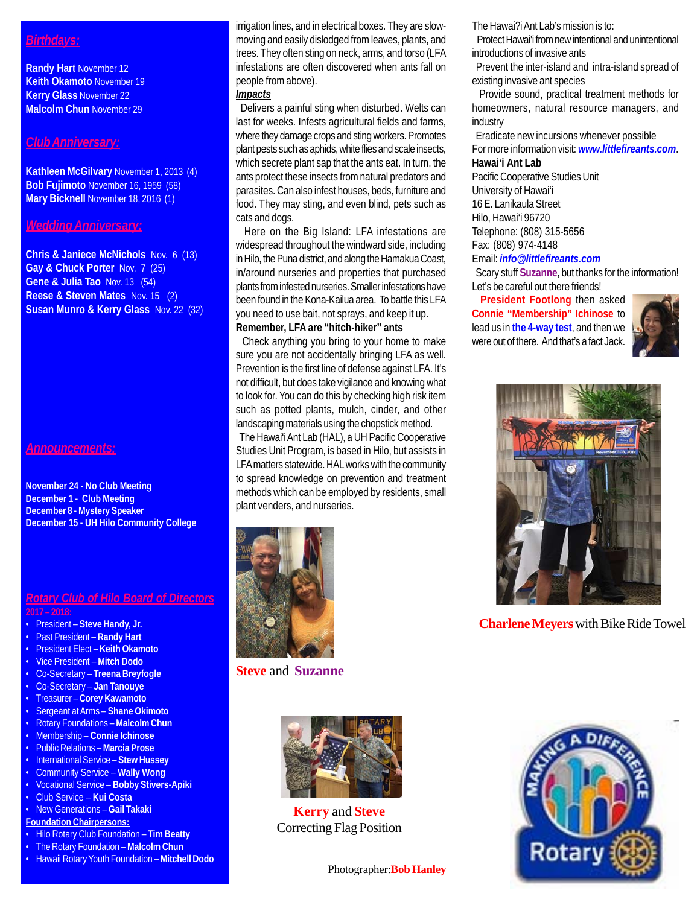#### *Birthdays:*

**Randy Hart** November 12 **Keith Okamoto** November 19 **Kerry Glass** November 22 **Malcolm Chun** November 29

#### *Club Anniversary:*

**Kathleen McGilvary** November 1, 2013 (4) **Bob Fujimoto** November 16, 1959 (58) **Mary Bicknell** November 18, 2016 (1)

#### *Wedding Anniversary:*

**Chris & Janiece McNichols** Nov. 6 (13) **Gay & Chuck Porter** Nov. 7 (25) **Gene & Julia Tao** Nov. 13 (54) **Reese & Steven Mates** Nov. 15 (2) **Susan Munro & Kerry Glass** Nov. 22 (32)

#### *Announcements:*

**November 24 - No Club Meeting December 1 - Club Meeting December 8 - Mystery Speaker December 15 - UH Hilo Community College**

# *Rotary Club of Hilo Board of Directors*

#### **2017 – 2018:**

- President **Steve Handy, Jr.**
- Past President **Randy Hart**
- President Elect **Keith Okamoto**
- Vice President **Mitch Dodo**
- Co-Secretary **Treena Breyfogle**
- Co-Secretary **Jan Tanouye**
- Treasurer **Corey Kawamoto**
- Sergeant at Arms **Shane Okimoto** • Rotary Foundations – **Malcolm Chun**
- Membership **Connie Ichinose**
- Public Relations **Marcia Prose**
- International Service **Stew Hussey**
- Community Service **Wally Wong**
- Vocational Service **Bobby Stivers-Apiki**
- Club Service **Kui Costa**
- New Generations **Gail Takaki**
- **Foundation Chairpersons:**
- Hilo Rotary Club Foundation **Tim Beatty**
- The Rotary Foundation **Malcolm Chun**
- Hawaii Rotary Youth Foundation **Mitchell Dodo**

irrigation lines, and in electrical boxes. They are slowmoving and easily dislodged from leaves, plants, and trees. They often sting on neck, arms, and torso (LFA infestations are often discovered when ants fall on people from above).

#### *Impacts*

 Delivers a painful sting when disturbed. Welts can last for weeks. Infests agricultural fields and farms, where they damage crops and sting workers. Promotes plant pests such as aphids, white flies and scale insects, which secrete plant sap that the ants eat. In turn, the ants protect these insects from natural predators and parasites. Can also infest houses, beds, furniture and food. They may sting, and even blind, pets such as cats and dogs.

 Here on the Big Island: LFA infestations are widespread throughout the windward side, including in Hilo, the Puna district, and along the Hamakua Coast, in/around nurseries and properties that purchased plants from infested nurseries. Smaller infestations have been found in the Kona-Kailua area. To battle this LFA you need to use bait, not sprays, and keep it up. **Remember, LFA are "hitch-hiker" ants**

 Check anything you bring to your home to make sure you are not accidentally bringing LFA as well. Prevention is the first line of defense against LFA. It's not difficult, but does take vigilance and knowing what to look for. You can do this by checking high risk item such as potted plants, mulch, cinder, and other landscaping materials using the chopstick method.

 The Hawai'i Ant Lab (HAL), a UH Pacific Cooperative Studies Unit Program, is based in Hilo, but assists in LFA matters statewide. HAL works with the community to spread knowledge on prevention and treatment methods which can be employed by residents, small plant venders, and nurseries.



**Steve** and **Suzanne**



**Kerry** and **Steve** Correcting Flag Position

The Hawai?i Ant Lab's mission is to:

 Protect Hawai'i from new intentional and unintentional introductions of invasive ants

 Prevent the inter-island and intra-island spread of existing invasive ant species

 Provide sound, practical treatment methods for homeowners, natural resource managers, and industry

 Eradicate new incursions whenever possible For more information visit: *www.littlefireants.com*.

#### **Hawai'i Ant Lab**

Pacific Cooperative Studies Unit University of Hawai'i 16 E. Lanikaula Street Hilo, Hawai'i 96720 Telephone: (808) 315-5656 Fax: (808) 974-4148

#### Email: *info@littlefireants.com*

 Scary stuff **Suzanne**, but thanks for the information! Let's be careful out there friends!

 **President Footlong** then asked **Connie "Membership" Ichinose** to lead us in **the 4-way test**, and then we were out of there. And that's a fact Jack.





**Charlene Meyers** with Bike Ride Towel